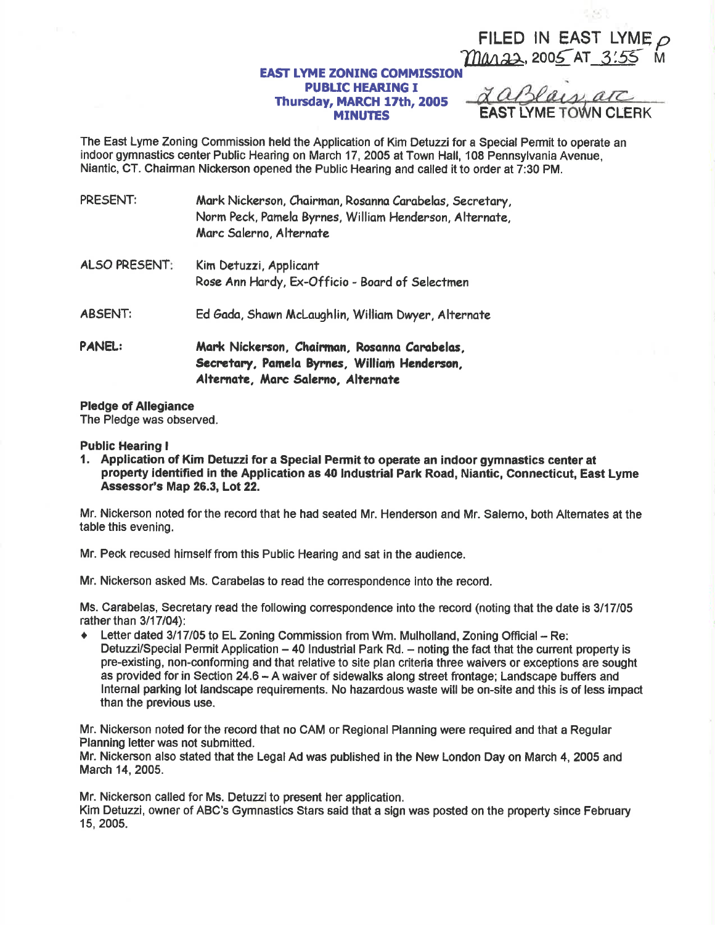### FILED IN EAST LYME Mara2, 2005 AT 3:55 M

- 36

### **EAST LYME ZONING COMMISSIO** PUBUC HEARING I Thursday, MARCH 17th, 2005 **MINUTES**

The East Lyme Zoning Commission held the Application of Kim Deluzzi for a Special Permit to operate an indoor gymnastics center Public Hearing on March 17, 2005 at Town Hall, 108 Pennsylvania Avenue, Niantic, CT. Chairman Nickenson opened the Public Hearing and called it to order at 7:30 PM.

| PRESENT:             | Mark Nickerson, Chairman, Rosanna Carabelas, Secretary,<br>Norm Peck, Pamela Byrnes, William Henderson, Alternate,<br>Marc Salerno, Alternate |
|----------------------|-----------------------------------------------------------------------------------------------------------------------------------------------|
| <b>ALSO PRESENT:</b> | Kim Detuzzi, Applicant<br>Rose Ann Hardy, Ex-Officio - Board of Selectmen                                                                     |
| <b>ABSENT:</b>       | Ed Gada, Shawn McLaughlin, William Dwyer, Alternate                                                                                           |
| <b>PANEL:</b>        | Mark Nickerson, Chairman, Rosanna Carabelas,<br>Secretary, Pamela Byrnes, William Henderson,<br>Alternate, Marc Salerno, Alternate            |

## Pledge of Allegiance

The Pledge was obseryed.

#### Public Hearing I

1, Application of Kim Detuzzi for a Special Permit to operate an indoor gymnastics centef at property identilied in the Application as 40 lndustrial Park Road, Niantic, Connecticut, East Lyme Assessor's Map 26.3, Lot 22.

Mr. Nickerson noted for the record that he had seated Mr. Henderson and Mr. Salerno, both Altemates et the table this evening.

Mr. Peck recused himself from this Public Hearing and sat in the audience.

Mr. Nickerson asked Ms. Carabelas to read the conespondence into the record.

Ms. Carabelas, Secretary read the following correspondence into the record (noting that the date is 3/17/05 rather than 3/17/05

+ Letter dated 3/17/05 to EL Zoning Commission from Wm. Mulholland, Zoning Official - Re: Detuzzi/Special Permit Application - 40 Industrial Park Rd. - noting the fact that the current property is pre-existing, non-conforming and that relative to site plan criteria three waivers or exceptions are sought as provided for in Section 24.6 – A waiver of sidewalks along street frontage; Landscape buffers and lnternal parking lot landscape requirements. No hazardous waste will be on-site and this is of less impact than the previous use.

Mr. Nickerson noted forthe record that no CAM or Regional Planning were required and that a Regular Planning letter was not submitted.

Mr. Nickerson also stated that the Legal Ad was published in the New London Day on March 4, 2005 and March 14, 2005.

Mr. Nickerson called for Ms. Detuzzi to present her application.

Kim Detuzzi, owner of ABC's Gymnastics Stars said that a sign was posted on the property since February 15,2005.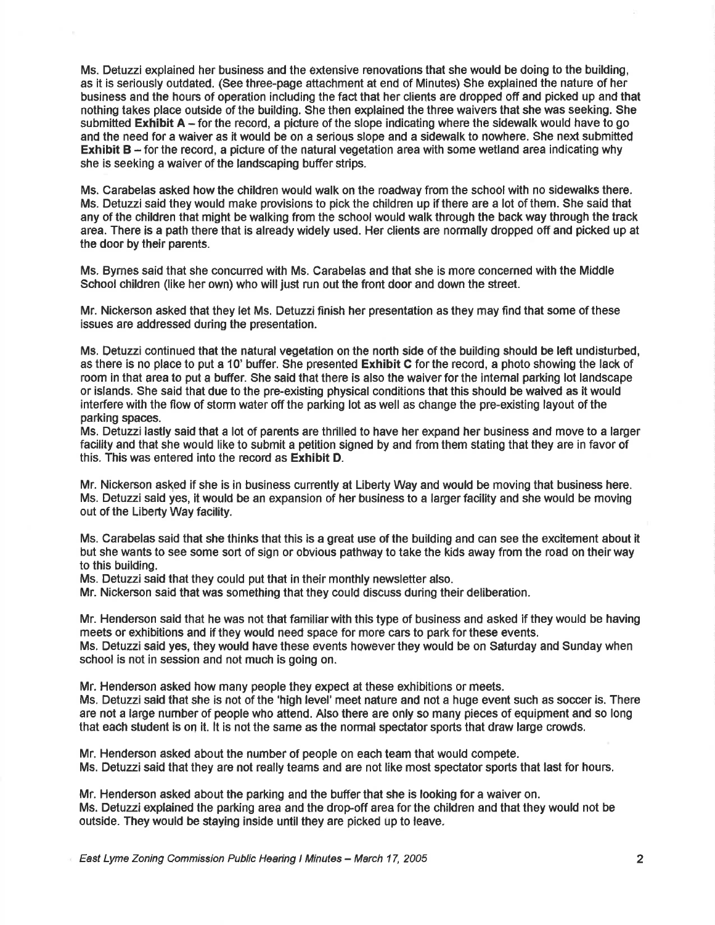Ms. Detuzzi explained her business and the extensive renovations that she would be doing to the building, as it is seriously outdated. (See three-page attachment at end of Minutes) She explained the nature of her business and the hours of operation including the fact that her clients are dropped off and picked up and that nothing takes place outside of the building. She then explained the three waivers that she was seeking. She submitted  $Exthibit A - for the record, a picture of the slope indicating where the sideways would have to go$ and the need for a waiver as it would be on a serious slope and a sidewalk to nowhere. She next submitted Exhibit  $B -$  for the record, a picture of the natural vegetation area with some wetland area indicating why she is seeking a waiver of the landscaping buffer strips.

Ms. Carabelas asked how the children would walk on the roadway from the school with no sidewalks thero. Ms. Detuzzi said they would make provisions to pick the children up if there are a lot of them. She said that any of the children that might be walking from the school would walk through the back way through the track area. There is a path there that is already widely used. Her clients are normally dropped off and picked up at the door by their parents.

Ms. Byrnes said that she concurred with Ms, Carabelas and that she is more conoerned with the Middle School children (like her own) who will just run out the front door and down the street.

Mr. Nickerson asked that they let Ms. Deluzzi finish her presentation as they may find that some of these issues are addressed during the presentation.

Ms. Detuzzi continued that the natural vegetation on the north side of the building should be lefi undisturbed, as there is no place to put a 10' buffer. She presented Exhibit C forthe record, a photo showing the lack of room in that area to put a buffer. She said that there is also the waiver for the intemal parking lot landscape or islands. She said that due to the pre-existing physical conditions that this should be waived as it would interfere with the flow of storm water off the parking lot as well as change the pre-existing layout of the parking spaces.

Ms. Detuzzi lastly said that a lot of parents are thrilled to have her expand her business and move to a larger facility and that she would like to submit a petition signed by and from them stating that they are in favor of this. This was entered into the record as Exhibit D.

Mr. Nickerson asked if she is in business currently at Liberty Way and would be moving that business here. Ms. Detuzzi said yes, it would be an expansion of her business to a larger facility and she would be moving out of the Liberty Way facility.

Ms. Carabelas said that she thinks that this is a great use of the building and oan see the excitement about it but she wants to see some sort of sign or obvious pathway to take the kids away from the road on their way to this building.

Ms. Detuzzi said that they could put that in their monthly newsletter also.

Mr. Nickerson said that was something that they could discuss during their deliberation.

Mr. Henderson said that he was not that familiar with this type of business and asked if they would be having meets or exhibitions and if they would need space for more cars to park for these events. Ms. Detuzzi said yes, they would have these events however they would be on Saturday and Sunday when school is not in session and not much is going on.

Mr. Henderson asked how many people they expect at these exhibitions or meets.

Ms. Detuzzi said that she is not of the 'high level' meet nature and not a huge event such as soccer is. There are not a large number of people who attend. Also there are only so many pieces of equipment and so long that each student is on it. It is not the same as the normal spectator sports that draw large crowds.

Mr, Henderson asked about the number of people on each team that would compete, Ms. Detuzzi said that they are not really teams and are not like most spectator sports that last for hours.

Mr. Henderson asked about the parking and the buffer that she is looking for a waiver on. Ms. Detuzzi explained the parking area and the drop-off area for the children and that they would not be outside. They would be staying inside until they are picked up to leave.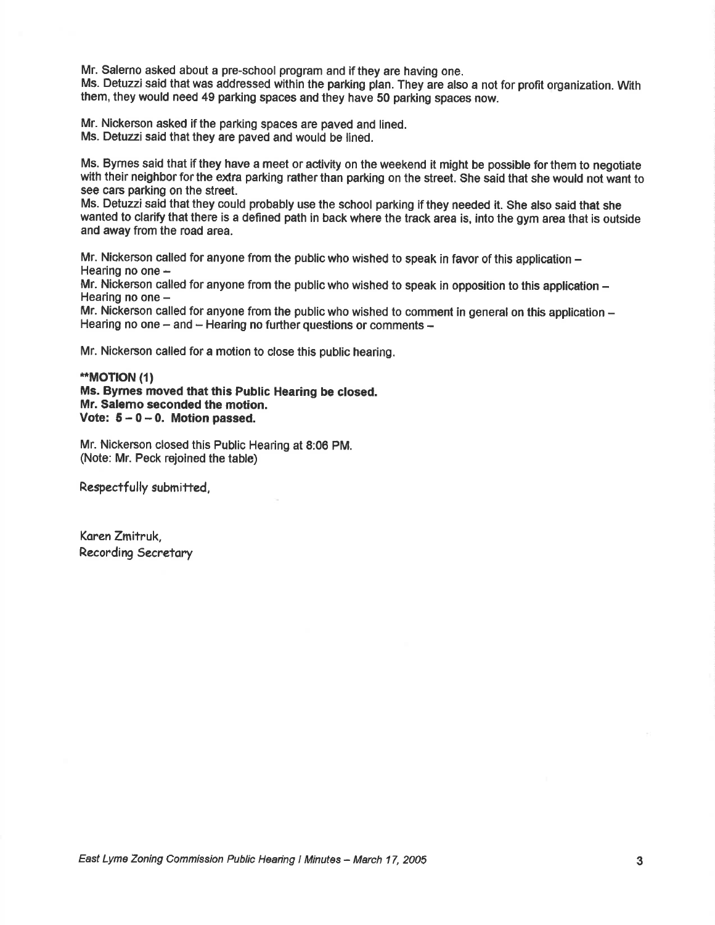Mr. Salerno asked about a pre-school program and if they are having one.

Ms. Detuzzi said that was addressed within the parking plan. They are also a not for profit organization. With them, they would need 49 parking spaces and they have S0 parking spaces now.

Mr. Nickerson asked if the parking spaces are paved and lined. Ms. Detuzzi said that they are paved and would be lined.

Ms. Bymes said that if they have a meet or activity on the weekend it might be possible forthem to negotiate with their neighbor for the extra parking rather than parking on the street. She said that she would not want to see cars parking on the street.

Ms. Detuzzi said that they could probably use the school parking if they needed it. She also said that she wanted to clarify that there is a defined path in back where the track area is, into the gym area that is outside and away from the road area.

Mr. Nickerson called for anyone from the public who wished to speak in favor of this application  $$ wir. rwckersom car<br>Hearing no one –

Mr. Nickerson called for anyone from the public who wished to speak in opposition to this application -Hearing no one -

Mr. Nickerson called for anyone from the public who wished to comment in general on this application -Hearing no one - and - Hearing no further questions or comments -

Mr. Nickerson called for a motion to close this public hearing.

.\*MOTION (1) Ms. Byrnes moved that this Public Hearing be closed. Mr. Salemo seconded the motion. Vote:  $5 - 0 - 0$ . Motion passed.

Mr. Nickerson closed this Public Hearing at 8:06 PM. (Note: Mr. Peck rejoined the table)

Respectfully submitted,

Koren Zmitruk, Recording Secretary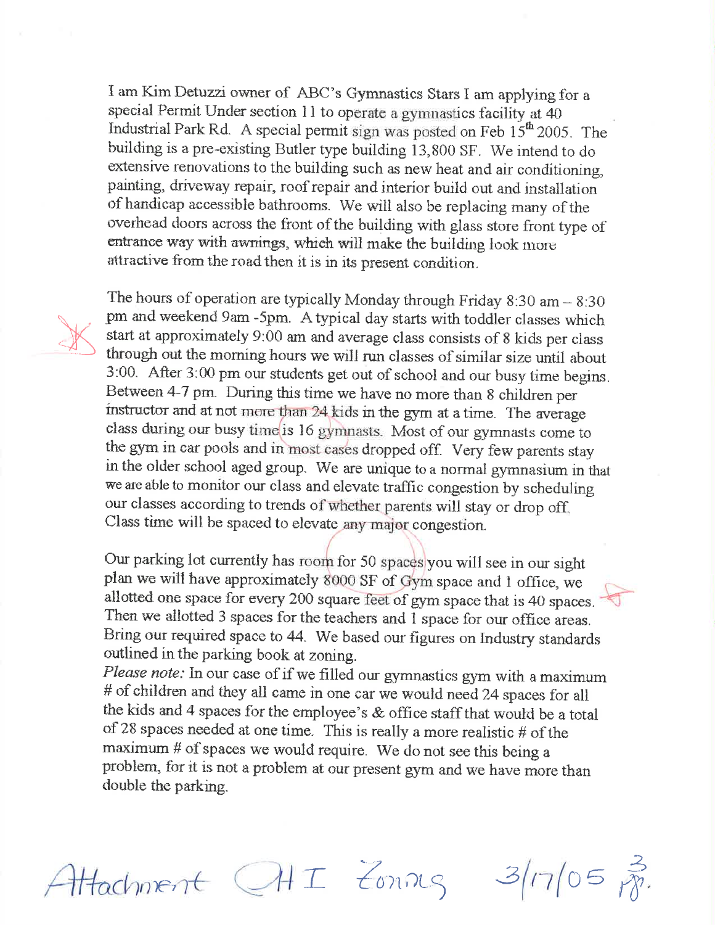I am Kim Detuzzi owner of ABC's Gymnastics Stars I am applying for a special Permit Under section 11 to operate a gymnastics facility at 40 Industrial Park Rd. A special permit sign was posted on Feb 15<sup>th</sup> 2005. The building is a pre-existing Butler type building 13,800 SF. We intend to do extensive renovations to the building such as new heat and air conditioning, painting, driveway repair, roof repair and interior build out and installation of handicap accessible bathrooms. We will also be replacing many of the overhead doors across the front of the building with glass store front type of entrance way with awnings, which will make the building look more attractive from the road then it is in its present condition.



The hours of operation are typically Monday through Friday 8:30 am  $-8:30$ pm and weekend 9am -5pm. A typical day starts with toddler classes which start at approximately 9:00 am and average class consists of 8 kids per class through out the morning hours we will run classes of similar size until about 3:00. After 3:00 pm our students get out of school and our busy time begins. Between 4-7 pm. During this time we have no more than 8 children per instructor and at not more than 24 kids in the gym at a time. The average class during our busy time is 16 gymnasts. Most of our gymnasts come to the gym in car pools and in most cases dropped off. Very few parents stay in the older school aged group. We are unique to a normal gymnasium in that we are able to monitor our class and elevate traffic congestion by scheduling our classes according to trends of whether parents will stay or drop off. Class time will be spaced to elevate any major congestion.

Our parking lot currently has room for 50 spaces you will see in our sight plan we will have approximately 8000 SF of Gym space and 1 office, we allotted one space for every 200 square feet of gym space that is 40 spaces. Then we allotted 3 spaces for the teachers and 1 space for our office areas. Bring our required space to 44. We based our figures on Industry standards outlined in the parking book at zoning.

Please note: In our case of if we filled our gymnastics gym with a maximum # of children and they all came in one car we would need 24 spaces for all the kids and 4 spaces for the employee's & office staff that would be a total of 28 spaces needed at one time. This is really a more realistic  $#$  of the maximum # of spaces we would require. We do not see this being a problem, for it is not a problem at our present gym and we have more than double the parking.



Attachment CHI Zonnes 3/17/05 pp.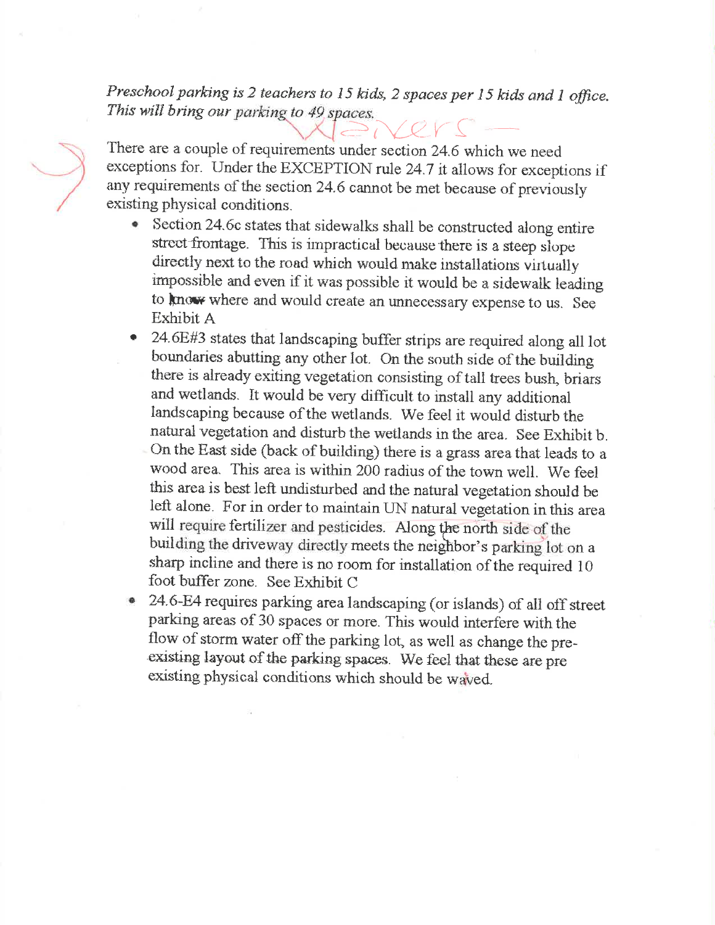Preschool parking is 2 teachers to 15 kids, 2 spaces per 15 kids and 1 office. This will bring our parking to 49 spaces.

There are a couple of requirements under section 24.6 which we need exceptions for. Under the EXCEPTION rule 24.7 it allows for exceptions if any requirements of the section 24.6 cannot be met because of previously existing physical conditions.

- Section 24.6c states that sidewalks shall be constructed along entire  $\bullet$ street frontage. This is impractical because there is a steep slope directly next to the road which would make installations virtually impossible and even if it was possible it would be a sidewalk leading to know where and would create an unnecessary expense to us. See Exhibit A
- 24.6E#3 states that landscaping buffer strips are required along all lot boundaries abutting any other lot. On the south side of the building there is already exiting vegetation consisting of tall trees bush, briars and wetlands. It would be very difficult to install any additional landscaping because of the wetlands. We feel it would disturb the natural vegetation and disturb the wetlands in the area. See Exhibit b.
- On the East side (back of building) there is a grass area that leads to a wood area. This area is within 200 radius of the town well. We feel this area is best left undisturbed and the natural vegetation should be left alone. For in order to maintain UN natural vegetation in this area will require fertilizer and pesticides. Along the north side of the building the driveway directly meets the neighbor's parking lot on a sharp incline and there is no room for installation of the required 10 foot buffer zone. See Exhibit C
- 24.6-E4 requires parking area landscaping (or islands) of all off street parking areas of 30 spaces or more. This would interfere with the flow of storm water off the parking lot, as well as change the preexisting layout of the parking spaces. We feel that these are pre existing physical conditions which should be waved.